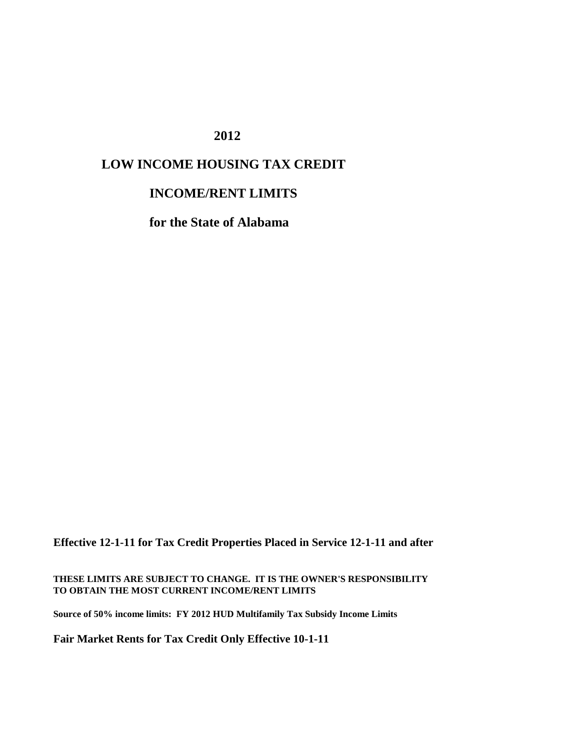#### **2012**

# **LOW INCOME HOUSING TAX CREDIT**

#### **INCOME/RENT LIMITS**

**for the State of Alabama**

**Effective 12-1-11 for Tax Credit Properties Placed in Service 12-1-11 and after**

**THESE LIMITS ARE SUBJECT TO CHANGE. IT IS THE OWNER'S RESPONSIBILITY TO OBTAIN THE MOST CURRENT INCOME/RENT LIMITS**

**Source of 50% income limits: FY 2012 HUD Multifamily Tax Subsidy Income Limits**

**Fair Market Rents for Tax Credit Only Effective 10-1-11**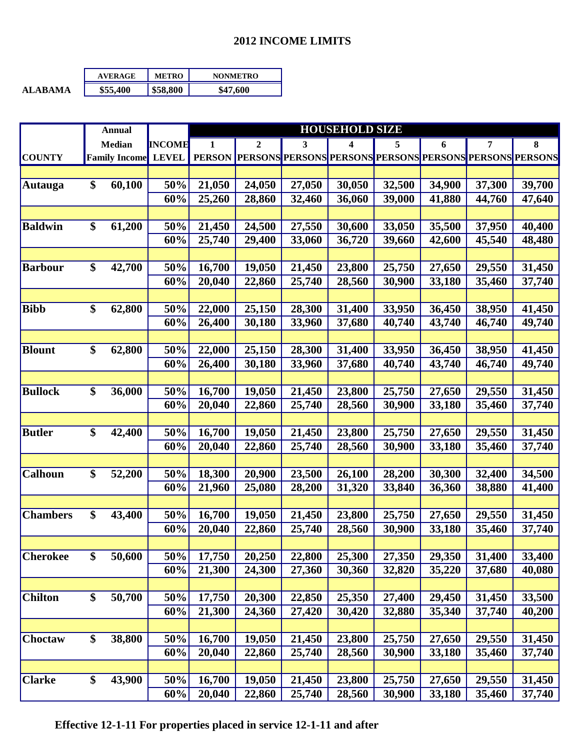### **2012 INCOME LIMITS**

|                | <b>AVERAGE</b> | <b>METRO</b> | <b>NONMETRO</b> |
|----------------|----------------|--------------|-----------------|
| <b>ALARAMA</b> | \$55,400       | \$58,800     | \$47,600        |

|                 | <b>Annual</b>        |               | <b>HOUSEHOLD SIZE</b> |                                |        |        |        |        |                                 |        |
|-----------------|----------------------|---------------|-----------------------|--------------------------------|--------|--------|--------|--------|---------------------------------|--------|
|                 | <b>Median</b>        | <b>INCOME</b> | 1                     | $\overline{2}$                 | 3      | 4      | 5      | 6      | 7                               | 8      |
| <b>COUNTY</b>   | <b>Family Income</b> | <b>LEVEL</b>  |                       | PERSON PERSONS PERSONS PERSONS |        |        |        |        | PERSONS PERSONS PERSONS PERSONS |        |
|                 |                      |               |                       |                                |        |        |        |        |                                 |        |
| <b>Autauga</b>  | \$<br>60,100         | 50%           | 21,050                | 24,050                         | 27,050 | 30,050 | 32,500 | 34,900 | 37,300                          | 39,700 |
|                 |                      | 60%           | 25,260                | 28,860                         | 32,460 | 36,060 | 39,000 | 41,880 | 44,760                          | 47,640 |
|                 |                      |               |                       |                                |        |        |        |        |                                 |        |
| <b>Baldwin</b>  | \$<br>61,200         | 50%           | 21,450                | 24,500                         | 27,550 | 30,600 | 33,050 | 35,500 | 37,950                          | 40,400 |
|                 |                      | 60%           | 25,740                | 29,400                         | 33,060 | 36,720 | 39,660 | 42,600 | 45,540                          | 48,480 |
|                 |                      |               |                       |                                |        |        |        |        |                                 |        |
| <b>Barbour</b>  | \$<br>42,700         | 50%           | 16,700                | 19,050                         | 21,450 | 23,800 | 25,750 | 27,650 | 29,550                          | 31,450 |
|                 |                      | 60%           | 20,040                | 22,860                         | 25,740 | 28,560 | 30,900 | 33,180 | 35,460                          | 37,740 |
|                 |                      |               |                       |                                |        |        |        |        |                                 |        |
| <b>Bibb</b>     | \$<br>62,800         | 50%           | 22,000                | 25,150                         | 28,300 | 31,400 | 33,950 | 36,450 | 38,950                          | 41,450 |
|                 |                      | 60%           | 26,400                | 30,180                         | 33,960 | 37,680 | 40,740 | 43,740 | 46,740                          | 49,740 |
|                 |                      |               |                       |                                |        |        |        |        |                                 |        |
| <b>Blount</b>   | \$<br>62,800         | 50%           | 22,000                | 25,150                         | 28,300 | 31,400 | 33,950 | 36,450 | 38,950                          | 41,450 |
|                 |                      | 60%           | 26,400                | 30,180                         | 33,960 | 37,680 | 40,740 | 43,740 | 46,740                          | 49,740 |
|                 |                      |               |                       |                                |        |        |        |        |                                 |        |
| <b>Bullock</b>  | \$<br>36,000         | 50%           | 16,700                | 19,050                         | 21,450 | 23,800 | 25,750 | 27,650 | 29,550                          | 31,450 |
|                 |                      | 60%           | 20,040                | 22,860                         | 25,740 | 28,560 | 30,900 | 33,180 | 35,460                          | 37,740 |
|                 |                      |               |                       |                                |        |        |        |        |                                 |        |
| <b>Butler</b>   | \$<br>42,400         | 50%           | 16,700                | 19,050                         | 21,450 | 23,800 | 25,750 | 27,650 | 29,550                          | 31,450 |
|                 |                      | 60%           | 20,040                | 22,860                         | 25,740 | 28,560 | 30,900 | 33,180 | 35,460                          | 37,740 |
|                 |                      |               |                       |                                |        |        |        |        |                                 |        |
| <b>Calhoun</b>  | \$<br>52,200         | 50%           | 18,300                | 20,900                         | 23,500 | 26,100 | 28,200 | 30,300 | 32,400                          | 34,500 |
|                 |                      | 60%           | 21,960                | 25,080                         | 28,200 | 31,320 | 33,840 | 36,360 | 38,880                          | 41,400 |
|                 |                      |               |                       |                                |        |        |        |        |                                 |        |
| <b>Chambers</b> | \$<br>43,400         | 50%           | 16,700                | 19,050                         | 21,450 | 23,800 | 25,750 | 27,650 | 29,550                          | 31,450 |
|                 |                      | 60%           | 20,040                | 22,860                         | 25,740 | 28,560 | 30,900 | 33,180 | 35,460                          | 37,740 |
|                 |                      |               |                       |                                |        |        |        |        |                                 |        |
| <b>Cherokee</b> | \$<br>50,600         | 50%           | 17,750                | 20,250                         | 22,800 | 25,300 | 27,350 | 29,350 | 31,400                          | 33,400 |
|                 |                      | 60%           | 21,300                | 24,300                         | 27,360 | 30,360 | 32,820 | 35,220 | 37,680                          | 40,080 |
|                 |                      |               |                       |                                |        |        |        |        |                                 |        |
| <b>Chilton</b>  | \$<br>50,700         | 50%           | 17,750                | 20,300                         | 22,850 | 25,350 | 27,400 | 29,450 | 31,450                          | 33,500 |
|                 |                      | 60%           | 21,300                | 24,360                         | 27,420 | 30,420 | 32,880 | 35,340 | 37,740                          | 40,200 |
|                 |                      |               |                       |                                |        |        |        |        |                                 |        |
| Choctaw         | \$<br>38,800         | 50%           | 16,700                | 19,050                         | 21,450 | 23,800 | 25,750 | 27,650 | 29,550                          | 31,450 |
|                 |                      | 60%           | 20,040                | 22,860                         | 25,740 | 28,560 | 30,900 | 33,180 | 35,460                          | 37,740 |
|                 |                      |               |                       |                                |        |        |        |        |                                 |        |
| <b>Clarke</b>   | \$<br>43,900         | 50%           | 16,700                | 19,050                         | 21,450 | 23,800 | 25,750 | 27,650 | 29,550                          | 31,450 |
|                 |                      | 60%           | 20,040                | 22,860                         | 25,740 | 28,560 | 30,900 | 33,180 | 35,460                          | 37,740 |

 **Effective 12-1-11 For properties placed in service 12-1-11 and after**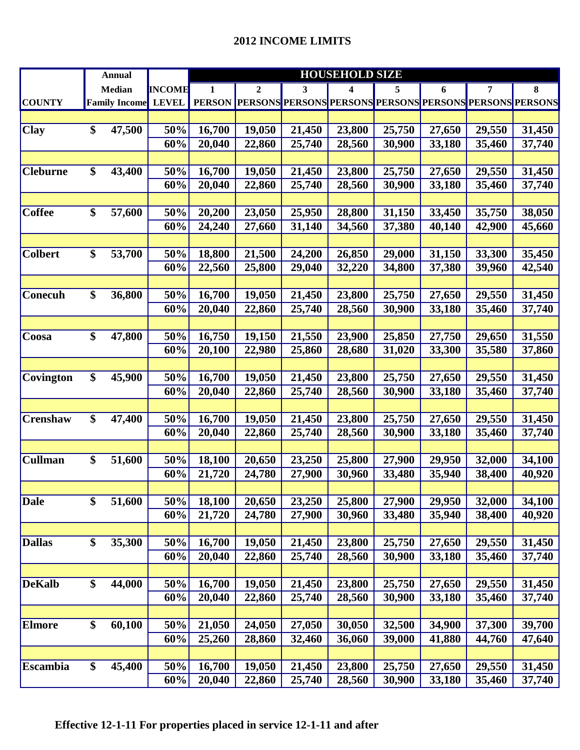|                 | <b>Annual</b>        |               |        |              |        | <b>HOUSEHOLD SIZE</b>                                          |        |        |        |        |  |
|-----------------|----------------------|---------------|--------|--------------|--------|----------------------------------------------------------------|--------|--------|--------|--------|--|
|                 | <b>Median</b>        | <b>INCOME</b> | 1      | $\mathbf{2}$ | 3      | 4                                                              | 5      | 6      | 7      | 8      |  |
| <b>COUNTY</b>   | <b>Family Income</b> | <b>LEVEL</b>  |        |              |        | PERSON PERSONS PERSONS PERSONS PERSONS PERSONS PERSONS PERSONS |        |        |        |        |  |
|                 |                      |               |        |              |        |                                                                |        |        |        |        |  |
| <b>Clay</b>     | \$<br>47,500         | 50%           | 16,700 | 19,050       | 21,450 | 23,800                                                         | 25,750 | 27,650 | 29,550 | 31,450 |  |
|                 |                      | 60%           | 20,040 | 22,860       | 25,740 | 28,560                                                         | 30,900 | 33,180 | 35,460 | 37,740 |  |
|                 |                      |               |        |              |        |                                                                |        |        |        |        |  |
| <b>Cleburne</b> | \$<br>43,400         | 50%           | 16,700 | 19,050       | 21,450 | 23,800                                                         | 25,750 | 27,650 | 29,550 | 31,450 |  |
|                 |                      | 60%           | 20,040 | 22,860       | 25,740 | 28,560                                                         | 30,900 | 33,180 | 35,460 | 37,740 |  |
|                 |                      |               |        |              |        |                                                                |        |        |        |        |  |
| <b>Coffee</b>   | \$<br>57,600         | 50%           | 20,200 | 23,050       | 25,950 | 28,800                                                         | 31,150 | 33,450 | 35,750 | 38,050 |  |
|                 |                      | 60%           | 24,240 | 27,660       | 31,140 | 34,560                                                         | 37,380 | 40,140 | 42,900 | 45,660 |  |
|                 |                      |               |        |              |        |                                                                |        |        |        |        |  |
| <b>Colbert</b>  | \$<br>53,700         | 50%           | 18,800 | 21,500       | 24,200 | 26,850                                                         | 29,000 | 31,150 | 33,300 | 35,450 |  |
|                 |                      | 60%           | 22,560 | 25,800       | 29,040 | 32,220                                                         | 34,800 | 37,380 | 39,960 | 42,540 |  |
|                 |                      |               |        |              |        |                                                                |        |        |        |        |  |
| Conecuh         | \$<br>36,800         | 50%           | 16,700 | 19,050       | 21,450 | 23,800                                                         | 25,750 | 27,650 | 29,550 | 31,450 |  |
|                 |                      | 60%           | 20,040 | 22,860       | 25,740 | 28,560                                                         | 30,900 | 33,180 | 35,460 | 37,740 |  |
|                 |                      |               |        |              |        |                                                                |        |        |        |        |  |
| Coosa           | \$<br>47,800         | 50%           | 16,750 | 19,150       | 21,550 | 23,900                                                         | 25,850 | 27,750 | 29,650 | 31,550 |  |
|                 |                      | 60%           | 20,100 | 22,980       | 25,860 | 28,680                                                         | 31,020 | 33,300 | 35,580 | 37,860 |  |
|                 |                      |               |        |              |        |                                                                |        |        |        |        |  |
| Covington       | \$<br>45,900         | 50%           | 16,700 | 19,050       | 21,450 | 23,800                                                         | 25,750 | 27,650 | 29,550 | 31,450 |  |
|                 |                      | 60%           | 20,040 | 22,860       | 25,740 | 28,560                                                         | 30,900 | 33,180 | 35,460 | 37,740 |  |
|                 |                      |               |        |              |        |                                                                |        |        |        |        |  |
| <b>Crenshaw</b> | \$<br>47,400         | 50%           | 16,700 | 19,050       | 21,450 | 23,800                                                         | 25,750 | 27,650 | 29,550 | 31,450 |  |
|                 |                      | 60%           | 20,040 | 22,860       | 25,740 | 28,560                                                         | 30,900 | 33,180 | 35,460 | 37,740 |  |
|                 |                      |               |        |              |        |                                                                |        |        |        |        |  |
| <b>Cullman</b>  | \$<br>51,600         | 50%           | 18,100 | 20,650       | 23,250 | 25,800                                                         | 27,900 | 29,950 | 32,000 | 34,100 |  |
|                 |                      | 60%           | 21,720 | 24,780       | 27,900 | 30,960                                                         | 33,480 | 35,940 | 38,400 | 40,920 |  |
|                 |                      |               |        |              |        |                                                                |        |        |        |        |  |
| <b>Dale</b>     | \$<br>51,600         | 50%           | 18,100 | 20,650       | 23,250 | 25,800                                                         | 27,900 | 29,950 | 32,000 | 34,100 |  |
|                 |                      | 60%           | 21,720 | 24,780       | 27,900 | 30,960                                                         | 33,480 | 35,940 | 38,400 | 40,920 |  |
|                 |                      |               |        |              |        |                                                                |        |        |        |        |  |
| <b>Dallas</b>   | \$<br>35,300         | 50%           | 16,700 | 19,050       | 21,450 | 23,800                                                         | 25,750 | 27,650 | 29,550 | 31,450 |  |
|                 |                      | 60%           | 20,040 | 22,860       | 25,740 | 28,560                                                         | 30,900 | 33,180 | 35,460 | 37,740 |  |
|                 |                      |               |        |              |        |                                                                |        |        |        |        |  |
| <b>DeKalb</b>   | \$<br>44,000         | 50%           | 16,700 | 19,050       | 21,450 | 23,800                                                         | 25,750 | 27,650 | 29,550 | 31,450 |  |
|                 |                      | 60%           | 20,040 | 22,860       | 25,740 | 28,560                                                         | 30,900 | 33,180 | 35,460 | 37,740 |  |
|                 |                      |               |        |              |        |                                                                |        |        |        |        |  |
| <b>Elmore</b>   | \$<br>60,100         | 50%           | 21,050 | 24,050       | 27,050 | 30,050                                                         | 32,500 | 34,900 | 37,300 | 39,700 |  |
|                 |                      | 60%           | 25,260 | 28,860       | 32,460 | 36,060                                                         | 39,000 | 41,880 | 44,760 | 47,640 |  |
|                 |                      |               |        |              |        |                                                                |        |        |        |        |  |
| <b>Escambia</b> | \$<br>45,400         | 50%           | 16,700 | 19,050       | 21,450 | 23,800                                                         | 25,750 | 27,650 | 29,550 | 31,450 |  |
|                 |                      | 60%           | 20,040 | 22,860       | 25,740 | 28,560                                                         | 30,900 | 33,180 | 35,460 | 37,740 |  |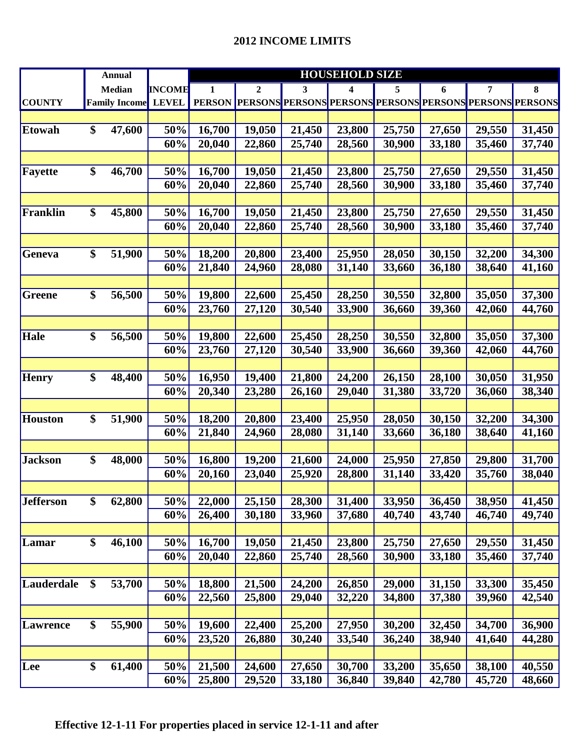|                   | <b>Annual</b>        |               | <b>HOUSEHOLD SIZE</b> |              |        |                                                                |        |        |        |        |
|-------------------|----------------------|---------------|-----------------------|--------------|--------|----------------------------------------------------------------|--------|--------|--------|--------|
|                   | <b>Median</b>        | <b>INCOME</b> | 1                     | $\mathbf{2}$ | 3      | 4                                                              | 5      | 6      | 7      | 8      |
| <b>COUNTY</b>     | <b>Family Income</b> | <b>LEVEL</b>  |                       |              |        | PERSON PERSONS PERSONS PERSONS PERSONS PERSONS PERSONS PERSONS |        |        |        |        |
|                   |                      |               |                       |              |        |                                                                |        |        |        |        |
| <b>Etowah</b>     | \$<br>47,600         | 50%           | 16,700                | 19,050       | 21,450 | 23,800                                                         | 25,750 | 27,650 | 29,550 | 31,450 |
|                   |                      | 60%           | 20,040                | 22,860       | 25,740 | 28,560                                                         | 30,900 | 33,180 | 35,460 | 37,740 |
|                   |                      |               |                       |              |        |                                                                |        |        |        |        |
| Fayette           | \$<br>46,700         | 50%           | 16,700                | 19,050       | 21,450 | 23,800                                                         | 25,750 | 27,650 | 29,550 | 31,450 |
|                   |                      | 60%           | 20,040                | 22,860       | 25,740 | 28,560                                                         | 30,900 | 33,180 | 35,460 | 37,740 |
|                   |                      |               |                       |              |        |                                                                |        |        |        |        |
| Franklin          | \$<br>45,800         | 50%           | 16,700                | 19,050       | 21,450 | 23,800                                                         | 25,750 | 27,650 | 29,550 | 31,450 |
|                   |                      | 60%           | 20,040                | 22,860       | 25,740 | 28,560                                                         | 30,900 | 33,180 | 35,460 | 37,740 |
|                   |                      |               |                       |              |        |                                                                |        |        |        |        |
| Geneva            | \$<br>51,900         | 50%           | 18,200                | 20,800       | 23,400 | 25,950                                                         | 28,050 | 30,150 | 32,200 | 34,300 |
|                   |                      | 60%           | 21,840                | 24,960       | 28,080 | 31,140                                                         | 33,660 | 36,180 | 38,640 | 41,160 |
|                   |                      |               |                       |              |        |                                                                |        |        |        |        |
| <b>Greene</b>     | \$<br>56,500         | 50%           | 19,800                | 22,600       | 25,450 | 28,250                                                         | 30,550 | 32,800 | 35,050 | 37,300 |
|                   |                      | 60%           | 23,760                | 27,120       | 30,540 | 33,900                                                         | 36,660 | 39,360 | 42,060 | 44,760 |
|                   |                      |               |                       |              |        |                                                                |        |        |        |        |
| <b>Hale</b>       | \$<br>56,500         | 50%           | 19,800                | 22,600       | 25,450 | 28,250                                                         | 30,550 | 32,800 | 35,050 | 37,300 |
|                   |                      | 60%           | 23,760                | 27,120       | 30,540 | 33,900                                                         | 36,660 | 39,360 | 42,060 | 44,760 |
|                   |                      |               |                       |              |        |                                                                |        |        |        |        |
| <b>Henry</b>      | \$<br>48,400         | 50%           | 16,950                | 19,400       | 21,800 | 24,200                                                         | 26,150 | 28,100 | 30,050 | 31,950 |
|                   |                      | 60%           | 20,340                | 23,280       | 26,160 | 29,040                                                         | 31,380 | 33,720 | 36,060 | 38,340 |
|                   |                      |               |                       |              |        |                                                                |        |        |        |        |
| <b>Houston</b>    | \$<br>51,900         | 50%           | 18,200                | 20,800       | 23,400 | 25,950                                                         | 28,050 | 30,150 | 32,200 | 34,300 |
|                   |                      | 60%           | 21,840                | 24,960       | 28,080 | 31,140                                                         | 33,660 | 36,180 | 38,640 | 41,160 |
|                   |                      |               |                       |              |        |                                                                |        |        |        |        |
| <b>Jackson</b>    | \$<br>48,000         | 50%           | 16,800                | 19,200       | 21,600 | 24,000                                                         | 25,950 | 27,850 | 29,800 | 31,700 |
|                   |                      | 60%           | 20,160                | 23,040       | 25,920 | 28,800                                                         | 31,140 | 33,420 | 35,760 | 38,040 |
|                   |                      |               |                       |              |        |                                                                |        |        |        |        |
| <b>Jefferson</b>  | \$<br>62,800         | 50%           | 22,000                | 25,150       | 28,300 | 31,400                                                         | 33,950 | 36,450 | 38,950 | 41,450 |
|                   |                      | 60%           | 26,400                | 30,180       | 33,960 | 37,680                                                         | 40,740 | 43,740 | 46,740 | 49,740 |
|                   |                      |               |                       |              |        |                                                                |        |        |        |        |
| Lamar             | \$<br>46,100         | 50%           | 16,700                | 19,050       | 21,450 | 23,800                                                         | 25,750 | 27,650 | 29,550 | 31,450 |
|                   |                      | 60%           | 20,040                | 22,860       | 25,740 | 28,560                                                         | 30,900 | 33,180 | 35,460 | 37,740 |
|                   |                      |               |                       |              |        |                                                                |        |        |        |        |
| <b>Lauderdale</b> | \$<br>53,700         | 50%           | 18,800                | 21,500       | 24,200 | 26,850                                                         | 29,000 | 31,150 | 33,300 | 35,450 |
|                   |                      | 60%           | 22,560                | 25,800       | 29,040 | 32,220                                                         | 34,800 | 37,380 | 39,960 | 42,540 |
|                   |                      |               |                       |              |        |                                                                |        |        |        |        |
| Lawrence          | \$<br>55,900         | 50%           | 19,600                | 22,400       | 25,200 | 27,950                                                         | 30,200 | 32,450 | 34,700 | 36,900 |
|                   |                      | 60%           | 23,520                | 26,880       | 30,240 | 33,540                                                         | 36,240 | 38,940 | 41,640 | 44,280 |
|                   |                      |               |                       |              |        |                                                                |        |        |        |        |
| Lee               | \$<br>61,400         | 50%           | 21,500                | 24,600       | 27,650 | 30,700                                                         | 33,200 | 35,650 | 38,100 | 40,550 |
|                   |                      | 60%           | 25,800                | 29,520       | 33,180 | 36,840                                                         | 39,840 | 42,780 | 45,720 | 48,660 |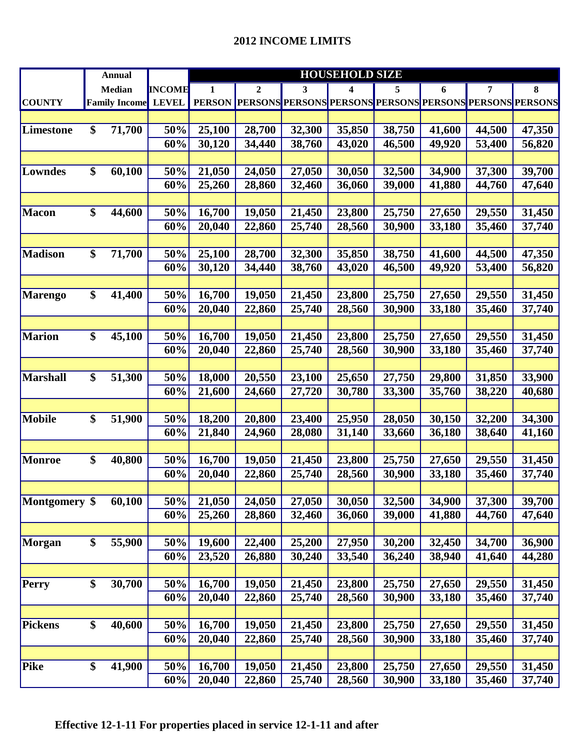|                  |                 | <b>Annual</b>        |               | <b>HOUSEHOLD SIZE</b> |        |        |                                                                |        |        |        |        |
|------------------|-----------------|----------------------|---------------|-----------------------|--------|--------|----------------------------------------------------------------|--------|--------|--------|--------|
|                  |                 | <b>Median</b>        | <b>INCOME</b> | 1                     | 2      | 3      | 4                                                              | 5      | 6      | 7      | 8      |
| <b>COUNTY</b>    |                 | <b>Family Income</b> | <b>LEVEL</b>  |                       |        |        | PERSON PERSONS PERSONS PERSONS PERSONS PERSONS PERSONS PERSONS |        |        |        |        |
|                  |                 |                      |               |                       |        |        |                                                                |        |        |        |        |
| <b>Limestone</b> | \$              | 71,700               | 50%           | 25,100                | 28,700 | 32,300 | 35,850                                                         | 38,750 | 41,600 | 44,500 | 47,350 |
|                  |                 |                      | 60%           | 30,120                | 34,440 | 38,760 | 43,020                                                         | 46,500 | 49,920 | 53,400 | 56,820 |
|                  |                 |                      |               |                       |        |        |                                                                |        |        |        |        |
| Lowndes          | \$              | 60,100               | 50%           | 21,050                | 24,050 | 27,050 | 30,050                                                         | 32,500 | 34,900 | 37,300 | 39,700 |
|                  |                 |                      | 60%           | 25,260                | 28,860 | 32,460 | 36,060                                                         | 39,000 | 41,880 | 44,760 | 47,640 |
|                  |                 |                      |               |                       |        |        |                                                                |        |        |        |        |
| <b>Macon</b>     | \$              | 44,600               | 50%           | 16,700                | 19,050 | 21,450 | 23,800                                                         | 25,750 | 27,650 | 29,550 | 31,450 |
|                  |                 |                      | 60%           | 20,040                | 22,860 | 25,740 | 28,560                                                         | 30,900 | 33,180 | 35,460 | 37,740 |
|                  |                 |                      |               |                       |        |        |                                                                |        |        |        |        |
| <b>Madison</b>   | \$              | 71,700               | 50%           | 25,100                | 28,700 | 32,300 | 35,850                                                         | 38,750 | 41,600 | 44,500 | 47,350 |
|                  |                 |                      | 60%           | 30,120                | 34,440 | 38,760 | 43,020                                                         | 46,500 | 49,920 | 53,400 | 56,820 |
|                  |                 |                      |               |                       |        |        |                                                                |        |        |        |        |
| <b>Marengo</b>   | \$              | 41,400               | 50%           | 16,700                | 19,050 | 21,450 | 23,800                                                         | 25,750 | 27,650 | 29,550 | 31,450 |
|                  |                 |                      | 60%           | 20,040                | 22,860 | 25,740 | 28,560                                                         | 30,900 | 33,180 | 35,460 | 37,740 |
|                  |                 |                      |               |                       |        |        |                                                                |        |        |        |        |
| <b>Marion</b>    | \$              | 45,100               | 50%           | 16,700                | 19,050 | 21,450 | 23,800                                                         | 25,750 | 27,650 | 29,550 | 31,450 |
|                  |                 |                      | 60%           | 20,040                | 22,860 | 25,740 | 28,560                                                         | 30,900 | 33,180 | 35,460 | 37,740 |
|                  |                 |                      |               |                       |        |        |                                                                |        |        |        |        |
| <b>Marshall</b>  | \$              | 51,300               | 50%           | 18,000                | 20,550 | 23,100 | 25,650                                                         | 27,750 | 29,800 | 31,850 | 33,900 |
|                  |                 |                      | 60%           | 21,600                | 24,660 | 27,720 | 30,780                                                         | 33,300 | 35,760 | 38,220 | 40,680 |
|                  |                 |                      |               |                       |        |        |                                                                |        |        |        |        |
| <b>Mobile</b>    | \$              | 51,900               | 50%           | 18,200                | 20,800 | 23,400 | 25,950                                                         | 28,050 | 30,150 | 32,200 | 34,300 |
|                  |                 |                      | 60%           | 21,840                | 24,960 | 28,080 | 31,140                                                         | 33,660 | 36,180 | 38,640 | 41,160 |
|                  |                 |                      |               |                       |        |        |                                                                |        |        |        |        |
| <b>Monroe</b>    | \$              | 40,800               | 50%           | 16,700                | 19,050 | 21,450 | 23,800                                                         | 25,750 | 27,650 | 29,550 | 31,450 |
|                  |                 |                      | 60%           | 20,040                | 22,860 | 25,740 | 28,560                                                         | 30,900 | 33,180 | 35,460 | 37,740 |
|                  |                 |                      |               |                       |        |        |                                                                |        |        |        |        |
| Montgomery \$    |                 | 60,100               | 50%           | 21,050                | 24,050 | 27,050 | 30,050                                                         | 32,500 | 34,900 | 37,300 | 39,700 |
|                  |                 |                      | 60%           | 25,260                | 28,860 | 32,460 | 36,060                                                         | 39,000 | 41,880 | 44,760 | 47,640 |
|                  |                 |                      |               |                       |        |        |                                                                |        |        |        |        |
| <b>Morgan</b>    | \$              | 55,900               | 50%           | 19,600                | 22,400 | 25,200 | 27,950                                                         | 30,200 | 32,450 | 34,700 | 36,900 |
|                  |                 |                      | 60%           | 23,520                | 26,880 | 30,240 | 33,540                                                         | 36,240 | 38,940 | 41,640 | 44,280 |
|                  |                 |                      |               |                       |        |        |                                                                |        |        |        |        |
| <b>Perry</b>     | \$              | 30,700               | 50%           | 16,700                | 19,050 | 21,450 | 23,800                                                         | 25,750 | 27,650 | 29,550 | 31,450 |
|                  |                 |                      | 60%           | 20,040                | 22,860 | 25,740 | 28,560                                                         | 30,900 | 33,180 | 35,460 | 37,740 |
|                  |                 |                      |               |                       |        |        |                                                                |        |        |        |        |
| <b>Pickens</b>   | \$              | 40,600               | 50%           | 16,700                | 19,050 | 21,450 | 23,800                                                         | 25,750 | 27,650 | 29,550 | 31,450 |
|                  |                 |                      | 60%           | 20,040                | 22,860 | 25,740 | 28,560                                                         | 30,900 | 33,180 | 35,460 | 37,740 |
|                  |                 |                      |               |                       |        |        |                                                                |        |        |        |        |
| Pike             | $\overline{\$}$ | 41,900               | 50%           | 16,700                | 19,050 | 21,450 | 23,800                                                         | 25,750 | 27,650 | 29,550 | 31,450 |
|                  |                 |                      | 60%           | 20,040                | 22,860 | 25,740 | 28,560                                                         | 30,900 | 33,180 | 35,460 | 37,740 |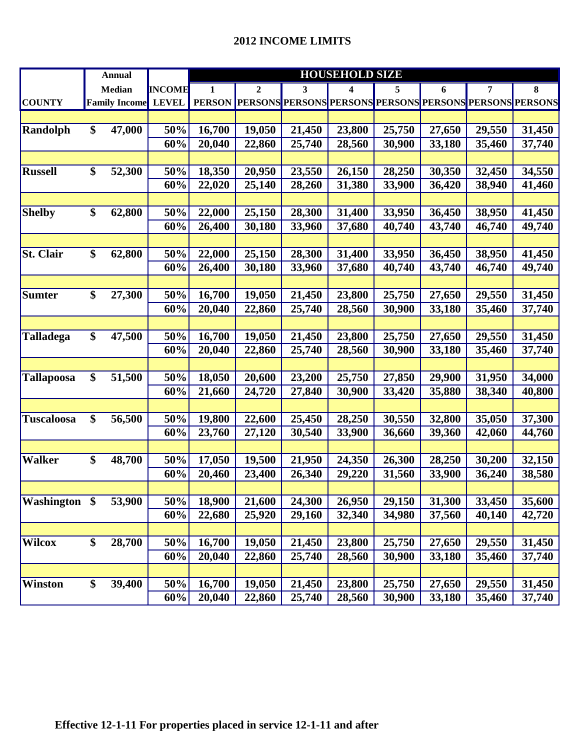## **2012 INCOME LIMITS**

|                   | <b>Annual</b>             |               | <b>HOUSEHOLD SIZE</b> |                  |        |                                                                |        |        |        |        |
|-------------------|---------------------------|---------------|-----------------------|------------------|--------|----------------------------------------------------------------|--------|--------|--------|--------|
|                   | <b>Median</b>             | <b>INCOME</b> | 1                     | $\boldsymbol{2}$ | 3      | 4                                                              | 5      | 6      | 7      | 8      |
| <b>COUNTY</b>     | <b>Family Income</b>      | <b>LEVEL</b>  |                       |                  |        | PERSON PERSONS PERSONS PERSONS PERSONS PERSONS PERSONS PERSONS |        |        |        |        |
|                   |                           |               |                       |                  |        |                                                                |        |        |        |        |
| Randolph          | \$<br>47,000              | 50%           | 16,700                | 19,050           | 21,450 | 23,800                                                         | 25,750 | 27,650 | 29,550 | 31,450 |
|                   |                           | 60%           | 20,040                | 22,860           | 25,740 | 28,560                                                         | 30,900 | 33,180 | 35,460 | 37,740 |
|                   |                           |               |                       |                  |        |                                                                |        |        |        |        |
| <b>Russell</b>    | \$<br>52,300              | 50%           | 18,350                | 20,950           | 23,550 | 26,150                                                         | 28,250 | 30,350 | 32,450 | 34,550 |
|                   |                           | 60%           | 22,020                | 25,140           | 28,260 | 31,380                                                         | 33,900 | 36,420 | 38,940 | 41,460 |
|                   |                           |               |                       |                  |        |                                                                |        |        |        |        |
| <b>Shelby</b>     | \$<br>62,800              | 50%           | 22,000                | 25,150           | 28,300 | 31,400                                                         | 33,950 | 36,450 | 38,950 | 41,450 |
|                   |                           | 60%           | 26,400                | 30,180           | 33,960 | 37,680                                                         | 40,740 | 43,740 | 46,740 | 49,740 |
|                   |                           |               |                       |                  |        |                                                                |        |        |        |        |
| <b>St. Clair</b>  | \$<br>62,800              | 50%           | 22,000                | 25,150           | 28,300 | 31,400                                                         | 33,950 | 36,450 | 38,950 | 41,450 |
|                   |                           | 60%           | 26,400                | 30,180           | 33,960 | 37,680                                                         | 40,740 | 43,740 | 46,740 | 49,740 |
|                   |                           |               |                       |                  |        |                                                                |        |        |        |        |
| <b>Sumter</b>     | \$<br>27,300              | 50%           | 16,700                | 19,050           | 21,450 | 23,800                                                         | 25,750 | 27,650 | 29,550 | 31,450 |
|                   |                           | 60%           | 20,040                | 22,860           | 25,740 | 28,560                                                         | 30,900 | 33,180 | 35,460 | 37,740 |
|                   |                           |               |                       |                  |        |                                                                |        |        |        |        |
| <b>Talladega</b>  | \$<br>47,500              | 50%           | 16,700                | 19,050           | 21,450 | 23,800                                                         | 25,750 | 27,650 | 29,550 | 31,450 |
|                   |                           | 60%           | 20,040                | 22,860           | 25,740 | 28,560                                                         | 30,900 | 33,180 | 35,460 | 37,740 |
|                   |                           |               |                       |                  |        |                                                                |        |        |        |        |
| Tallapoosa        | \$<br>51,500              | 50%           | 18,050                | 20,600           | 23,200 | 25,750                                                         | 27,850 | 29,900 | 31,950 | 34,000 |
|                   |                           | 60%           | 21,660                | 24,720           | 27,840 | 30,900                                                         | 33,420 | 35,880 | 38,340 | 40,800 |
|                   |                           |               |                       |                  |        |                                                                |        |        |        |        |
| <b>Tuscaloosa</b> | \$<br>56,500              | 50%           | 19,800                | 22,600           | 25,450 | 28,250                                                         | 30,550 | 32,800 | 35,050 | 37,300 |
|                   |                           | 60%           | 23,760                | 27,120           | 30,540 | 33,900                                                         | 36,660 | 39,360 | 42,060 | 44,760 |
|                   |                           |               |                       |                  |        |                                                                |        |        |        |        |
| <b>Walker</b>     | \$<br>48,700              | 50%           | 17,050                | 19,500           | 21,950 | 24,350                                                         | 26,300 | 28,250 | 30,200 | 32,150 |
|                   |                           | 60%           | 20,460                | 23,400           | 26,340 | 29,220                                                         | 31,560 | 33,900 | 36,240 | 38,580 |
|                   |                           |               |                       |                  |        |                                                                |        |        |        |        |
| Washington \$     | 53,900                    | 50%           | 18,900                | 21,600           | 24,300 | 26,950                                                         | 29,150 | 31,300 | 33,450 | 35,600 |
|                   |                           | 60%           | 22,680                | 25,920           | 29,160 | 32,340                                                         | 34,980 | 37,560 | 40,140 | 42,720 |
|                   |                           |               |                       |                  |        |                                                                |        |        |        |        |
| Wilcox            | $\overline{\$}$<br>28,700 | 50%           | 16,700                | 19,050           | 21,450 | 23,800                                                         | 25,750 | 27,650 | 29,550 | 31,450 |
|                   |                           | 60%           | 20,040                | 22,860           | 25,740 | 28,560                                                         | 30,900 | 33,180 | 35,460 | 37,740 |
|                   |                           |               |                       |                  |        |                                                                |        |        |        |        |
| Winston           | \$<br>39,400              | 50%           | 16,700                | 19,050           | 21,450 | 23,800                                                         | 25,750 | 27,650 | 29,550 | 31,450 |
|                   |                           | 60%           | 20,040                | 22,860           | 25,740 | 28,560                                                         | 30,900 | 33,180 | 35,460 | 37,740 |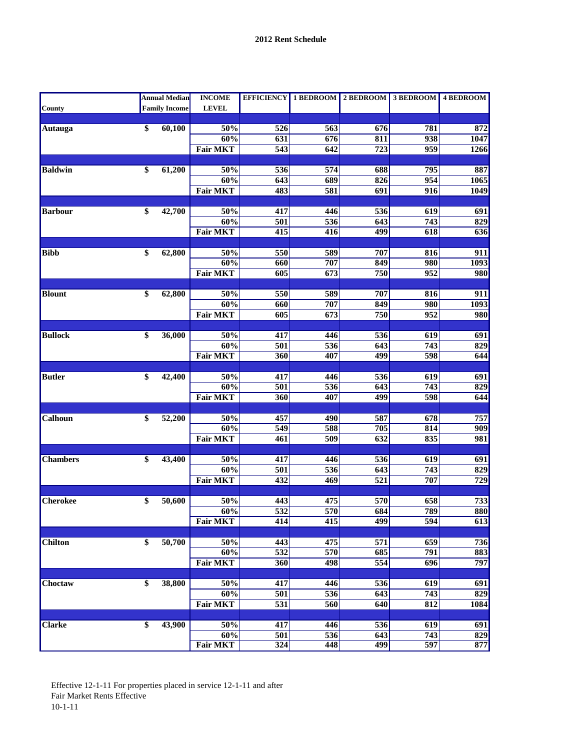|                 |                 | <b>Annual Median</b> | <b>INCOME</b>   |                  |                  | EFFICIENCY 1 BEDROOM 2 BEDROOM 3 BEDROOM 4 BEDROOM |                  |                  |
|-----------------|-----------------|----------------------|-----------------|------------------|------------------|----------------------------------------------------|------------------|------------------|
| <b>County</b>   |                 | <b>Family Income</b> | <b>LEVEL</b>    |                  |                  |                                                    |                  |                  |
|                 |                 |                      |                 |                  |                  |                                                    |                  |                  |
| Autauga         | $\overline{\$}$ | 60,100               | 50%             | $\overline{526}$ | 563              | 676                                                | 781              | 872              |
|                 |                 |                      | 60%             | 631              | 676              | 811                                                | 938              | 1047             |
|                 |                 |                      | <b>Fair MKT</b> | 543              | 642              | 723                                                | 959              | 1266             |
| <b>Baldwin</b>  | \$              | 61,200               | 50%             | 536              | 574              | 688                                                | 795              | 887              |
|                 |                 |                      | 60%             | $\overline{643}$ | 689              | 826                                                | 954              | 1065             |
|                 |                 |                      | <b>Fair MKT</b> | 483              | 581              | 691                                                | 916              | <b>1049</b>      |
|                 |                 |                      |                 |                  |                  |                                                    |                  |                  |
| <b>Barbour</b>  | \$              | 42,700               | 50%             | 417              | 446              | 536                                                | 619              | 691              |
|                 |                 |                      | 60%             | 501              | 536              | 643                                                | 743              | 829              |
|                 |                 |                      | <b>Fair MKT</b> | $\overline{415}$ | $\overline{416}$ | 499                                                | 618              | 636              |
|                 |                 |                      |                 |                  |                  |                                                    |                  |                  |
| <b>Bibb</b>     | \$              | 62,800               | 50%             | 550              | 589              | 707                                                | 816              | $\overline{911}$ |
|                 |                 |                      | 60%             | 660              | 707              | 849                                                | 980              | 1093             |
|                 |                 |                      | <b>Fair MKT</b> | 605              | 673              | 750                                                | 952              | 980              |
|                 |                 |                      |                 |                  |                  |                                                    |                  |                  |
| <b>Blount</b>   | \$              | 62,800               | 50%             | 550              | 589              | 707                                                | 816              | 911              |
|                 |                 |                      | 60%             | 660              | 707              | 849                                                | 980              | 1093             |
|                 |                 |                      | <b>Fair MKT</b> | 605              | 673              | 750                                                | $\overline{952}$ | 980              |
| <b>Bullock</b>  | \$              | 36,000               | 50%             | 417              | 446              | 536                                                | 619              | 691              |
|                 |                 |                      | 60%             | 501              | 536              | 643                                                | $\overline{743}$ | 829              |
|                 |                 |                      | <b>Fair MKT</b> | 360              | 407              | 499                                                | 598              | 644              |
|                 |                 |                      |                 |                  |                  |                                                    |                  |                  |
| <b>Butler</b>   | \$              | 42,400               | 50%             | 417              | 446              | 536                                                | 619              | 691              |
|                 |                 |                      | 60%             | 501              | 536              | 643                                                | 743              | 829              |
|                 |                 |                      | <b>Fair MKT</b> | 360              | 407              | 499                                                | 598              | 644              |
|                 |                 |                      |                 |                  |                  |                                                    |                  |                  |
| Calhoun         | \$              | 52,200               | 50%             | 457              | 490              | 587                                                | 678              | 757              |
|                 |                 |                      | 60%             | 549              | 588              | 705                                                | 814              | 909              |
|                 |                 |                      | <b>Fair MKT</b> | 461              | 509              | $\overline{632}$                                   | 835              | 981              |
|                 |                 |                      |                 |                  |                  |                                                    |                  |                  |
| <b>Chambers</b> | \$              | 43,400               | 50%             | 417              | 446              | 536                                                | 619              | 691              |
|                 |                 |                      | 60%             | 501              | 536              | 643                                                | 743              | 829              |
|                 |                 |                      | <b>Fair MKT</b> | 432              | 469              | $\overline{521}$                                   | 707              | $\overline{729}$ |
| <b>Cherokee</b> | \$              | 50,600               | 50%             | 443              | 475              | 570                                                | 658              | 733              |
|                 |                 |                      | 60%             | $\overline{532}$ | 570              | 684                                                | 789              | 880              |
|                 |                 |                      | <b>Fair MKT</b> | 414              | 415              | 499                                                | $\overline{594}$ | 613              |
|                 |                 |                      |                 |                  |                  |                                                    |                  |                  |
| <b>Chilton</b>  | $\overline{\$}$ | 50,700               | 50%             | 443              | 475              | $\overline{571}$                                   | $\overline{659}$ | 736              |
|                 |                 |                      | 60%             | 532              | 570              | 685                                                | 791              | 883              |
|                 |                 |                      | <b>Fair MKT</b> | 360              | 498              | 554                                                | 696              | 797              |
|                 |                 |                      |                 |                  |                  |                                                    |                  |                  |
| Choctaw         | \$              | 38,800               | 50%             | $\overline{417}$ | 446              | 536                                                | 619              | 691              |
|                 |                 |                      | 60%             | $\overline{501}$ | $\overline{536}$ | 643                                                | $\overline{743}$ | 829              |
|                 |                 |                      | <b>Fair MKT</b> | 531              | 560              | 640                                                | 812              | 1084             |
|                 |                 |                      |                 |                  |                  |                                                    |                  |                  |
| <b>Clarke</b>   | \$              | 43,900               | 50%             | 417              | 446              | 536                                                | 619              | 691              |
|                 |                 |                      | 60%             | 501              | 536              | 643                                                | $\overline{743}$ | 829              |
|                 |                 |                      | <b>Fair MKT</b> | 324              | 448              | 499                                                | 597              | 877              |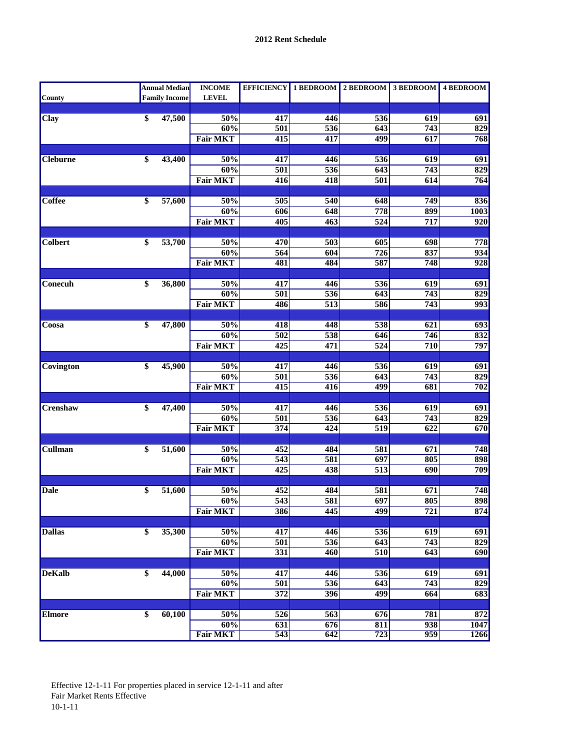|                 | Annual Median <mark></mark> | <b>INCOME</b>   |                         |                  | EFFICIENCY 1 BEDROOM 2 BEDROOM 3 BEDROOM 4 BEDROOM |                  |                  |
|-----------------|-----------------------------|-----------------|-------------------------|------------------|----------------------------------------------------|------------------|------------------|
| <b>County</b>   | <b>Family Income</b>        | <b>LEVEL</b>    |                         |                  |                                                    |                  |                  |
|                 |                             |                 |                         |                  |                                                    |                  |                  |
| Clay            | \$<br>47,500                | 50%             | 417                     | 446              | 536                                                | 619              | 691              |
|                 |                             | 60%             | $\overline{501}$        | 536              | 643                                                | $\overline{743}$ | 829              |
|                 |                             | <b>Fair MKT</b> | 415                     | 417              | 499                                                | 617              | 768              |
| <b>Cleburne</b> | \$<br>43,400                | 50%             | $\overline{417}$        | 446              | 536                                                | $\overline{619}$ | 691              |
|                 |                             | 60%             | $\overline{501}$        | $\overline{536}$ | 643                                                | $\overline{743}$ | 829              |
|                 |                             | <b>Fair MKT</b> | 416                     | 418              | 501                                                | 614              | 764              |
|                 |                             |                 |                         |                  |                                                    |                  |                  |
| <b>Coffee</b>   | \$<br>57,600                | 50%             | $\overline{505}$        | 540              | 648                                                | 749              | 836              |
|                 |                             | 60%             | 606                     | 648              | 778                                                | 899              | 1003             |
|                 |                             | <b>Fair MKT</b> | 405                     | 463              | $\overline{524}$                                   | 717              | 920              |
|                 |                             |                 |                         |                  |                                                    |                  |                  |
| <b>Colbert</b>  | \$<br>53,700                | 50%             | 470                     | 503              | 605                                                | 698              | 778              |
|                 |                             | 60%             | 564                     | 604              | 726                                                | 837              | $\overline{934}$ |
|                 |                             | <b>Fair MKT</b> | 481                     | 484              | 587                                                | 748              | 928              |
|                 |                             |                 |                         |                  |                                                    |                  |                  |
| Conecuh         | \$<br>36,800                | 50%             | 417                     | 446              | 536                                                | 619              | 691              |
|                 |                             | 60%             | 501                     | 536              | 643                                                | 743              | 829              |
|                 |                             | <b>Fair MKT</b> | 486                     | $\overline{513}$ | 586                                                | 743              | 993              |
|                 | \$<br>47,800                | 50%             | 418                     | 448              |                                                    | 621              |                  |
| Coosa           |                             | 60%             | $\overline{502}$        | 538              | 538<br>646                                         | 746              | 693<br>832       |
|                 |                             | <b>Fair MKT</b> | $\overline{425}$        | 471              | $\overline{524}$                                   | 710              | 797              |
|                 |                             |                 |                         |                  |                                                    |                  |                  |
| Covington       | \$<br>45,900                | 50%             | 417                     | 446              | 536                                                | 619              | 691              |
|                 |                             | 60%             | $\overline{501}$        | 536              | 643                                                | $\overline{743}$ | 829              |
|                 |                             | <b>Fair MKT</b> | $\overline{415}$        | 416              | 499                                                | 681              | 702              |
|                 |                             |                 |                         |                  |                                                    |                  |                  |
| Crenshaw        | \$<br>47,400                | 50%             | 417                     | 446              | 536                                                | 619              | 691              |
|                 |                             | 60%             | $\overline{501}$        | 536              | 643                                                | $\overline{743}$ | 829              |
|                 |                             | <b>Fair MKT</b> | $\overline{374}$        | 424              | $\overline{519}$                                   | $\overline{622}$ | 670              |
|                 |                             |                 |                         |                  |                                                    |                  |                  |
| Cullman         | \$<br>51,600                | 50%             | 452                     | 484              | 581                                                | 671              | 748              |
|                 |                             | 60%             | $\overline{543}$        | 581              | 697                                                | 805              | 898              |
|                 |                             | <b>Fair MKT</b> | 425                     | 438              | $\overline{513}$                                   | 690              | 709              |
|                 |                             |                 |                         |                  |                                                    |                  |                  |
| <b>Dale</b>     | \$<br>51,600                | 50%<br>60%      | 452<br>$\overline{543}$ | 484<br>581       | 581<br>$\overline{697}$                            | 671<br>805       | 748<br>898       |
|                 |                             | <b>Fair MKT</b> | 386                     | 445              | 499                                                | 721              | 874              |
|                 |                             |                 |                         |                  |                                                    |                  |                  |
| <b>Dallas</b>   | \$<br>35,300                | 50%             | 417                     | 446              | 536                                                | 619              | 691              |
|                 |                             | 60%             | $\overline{501}$        | 536              | 643                                                | $\overline{743}$ | 829              |
|                 |                             | <b>Fair MKT</b> | $\overline{331}$        | 460              | 510                                                | 643              | $\overline{690}$ |
|                 |                             |                 |                         |                  |                                                    |                  |                  |
| <b>DeKalb</b>   | \$<br>44,000                | 50%             | 417                     | 446              | $\overline{536}$                                   | 619              | 691              |
|                 |                             | 60%             | $\overline{501}$        | 536              | 643                                                | 743              | 829              |
|                 |                             | <b>Fair MKT</b> | 372                     | 396              | 499                                                | 664              | 683              |
|                 |                             |                 |                         |                  |                                                    |                  |                  |
| <b>Elmore</b>   | \$<br>60,100                | 50%             | 526                     | 563              | 676                                                | 781              | 872              |
|                 |                             | 60%             | $\overline{631}$        | 676              | 811                                                | $\overline{938}$ | 1047             |
|                 |                             | <b>Fair MKT</b> | 543                     | 642              | 723                                                | 959              | 1266             |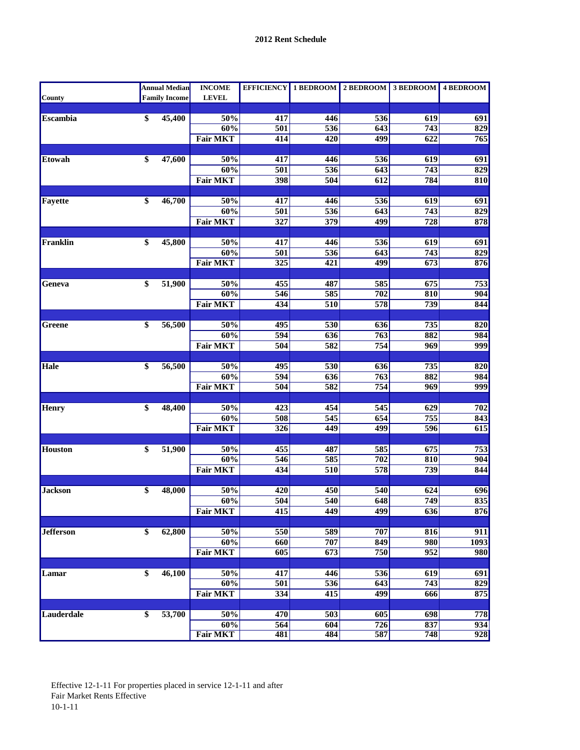|                   |                 | <b>Annual Median</b> | <b>INCOME</b>          |                  |                  | EFFICIENCY 1 BEDROOM 2 BEDROOM 3 BEDROOM 4 BEDROOM |                  |            |
|-------------------|-----------------|----------------------|------------------------|------------------|------------------|----------------------------------------------------|------------------|------------|
| County            |                 | <b>Family Income</b> | <b>LEVEL</b>           |                  |                  |                                                    |                  |            |
|                   |                 |                      |                        |                  |                  |                                                    |                  |            |
| <b>Escambia</b>   | $\overline{\$}$ | 45,400               | 50%                    | 417              | 446              | 536                                                | 619              | 691        |
|                   |                 |                      | 60%                    | 501              | 536              | 643                                                | 743              | 829        |
|                   |                 |                      | <b>Fair MKT</b>        | 414              | 420              | 499                                                | 622              | 765        |
| <b>Etowah</b>     | \$              | 47,600               | 50%                    | 417              | 446              | 536                                                | 619              | 691        |
|                   |                 |                      | 60%                    | 501              | 536              | 643                                                | $\overline{743}$ | 829        |
|                   |                 |                      | <b>Fair MKT</b>        | 398              | 504              | 612                                                | 784              | 810        |
|                   |                 |                      |                        |                  |                  |                                                    |                  |            |
| Fayette           | \$              | 46,700               | 50%                    | 417              | 446              | 536                                                | 619              | 691        |
|                   |                 |                      | 60%                    | 501              | 536              | 643                                                | $\overline{743}$ | 829        |
|                   |                 |                      | <b>Fair MKT</b>        | 327              | 379              | 499                                                | 728              | 878        |
|                   |                 |                      |                        |                  |                  |                                                    |                  |            |
| Franklin          | \$              | 45,800               | 50%                    | 417              | 446              | 536                                                | 619              | 691        |
|                   |                 |                      | 60%                    | 501              | 536              | 643                                                | 743              | 829        |
|                   |                 |                      | <b>Fair MKT</b>        | $\overline{325}$ | $\overline{421}$ | 499                                                | 673              | 876        |
|                   |                 |                      |                        |                  |                  |                                                    |                  |            |
| Geneva            | \$              | 51,900               | 50%                    | 455              | 487              | 585                                                | 675              | 753        |
|                   |                 |                      | 60%<br><b>Fair MKT</b> | 546<br>434       | 585<br>510       | 702<br>578                                         | 810<br>739       | 904<br>844 |
|                   |                 |                      |                        |                  |                  |                                                    |                  |            |
| <b>Greene</b>     | $\overline{\$}$ | 56,500               | 50%                    | 495              | 530              | 636                                                | 735              | 820        |
|                   |                 |                      | 60%                    | 594              | $\overline{636}$ | 763                                                | 882              | 984        |
|                   |                 |                      | <b>Fair MKT</b>        | 504              | 582              | 754                                                | 969              | 999        |
|                   |                 |                      |                        |                  |                  |                                                    |                  |            |
| Hale              | \$              | 56,500               | 50%                    | 495              | 530              | 636                                                | 735              | 820        |
|                   |                 |                      | 60%                    | $\overline{594}$ | 636              | 763                                                | 882              | 984        |
|                   |                 |                      | <b>Fair MKT</b>        | 504              | 582              | 754                                                | 969              | 999        |
|                   |                 |                      |                        |                  |                  |                                                    |                  |            |
| <b>Henry</b>      | \$              | 48,400               | 50%                    | 423              | 454              | $\overline{545}$                                   | 629              | 702        |
|                   |                 |                      | 60%                    | 508              | 545              | 654                                                | 755              | 843        |
|                   |                 |                      | <b>Fair MKT</b>        | $\overline{326}$ | 449              | 499                                                | 596              | 615        |
| <b>Houston</b>    | \$              | 51,900               | 50%                    | 455              | 487              | 585                                                | 675              | 753        |
|                   |                 |                      | 60%                    | 546              | 585              | 702                                                | 810              | 904        |
|                   |                 |                      | <b>Fair MKT</b>        | 434              | 510              | 578                                                | 739              | 844        |
|                   |                 |                      |                        |                  |                  |                                                    |                  |            |
| <b>Jackson</b>    | \$              | 48,000               | $50\%$                 | 420              | 450              | 540                                                | 624              | 696        |
|                   |                 |                      | 60%                    | 504              | 540              | 648                                                | $\overline{749}$ | 835        |
|                   |                 |                      | <b>Fair MKT</b>        | 415              | 449              | 499                                                | $\overline{636}$ | 876        |
|                   |                 |                      |                        |                  |                  |                                                    |                  |            |
| <b>Jefferson</b>  | \$              | 62,800               | 50%                    | 550              | 589              | 707                                                | 816              | 911        |
|                   |                 |                      | 60%                    | 660              | 707              | 849                                                | 980              | 1093       |
|                   |                 |                      | <b>Fair MKT</b>        | 605              | $\overline{673}$ | 750                                                | 952              | 980        |
|                   |                 |                      |                        |                  |                  |                                                    |                  |            |
| Lamar             | \$              | $\frac{46,100}{ }$   | 50%                    | 417              | 446              | 536                                                | $\overline{619}$ | 691        |
|                   |                 |                      | 60%                    | 501              | 536              | 643                                                | 743              | 829        |
|                   |                 |                      | <b>Fair MKT</b>        | 334              | $\overline{415}$ | 499                                                | 666              | 875        |
| <b>Lauderdale</b> | \$              | 53,700               | 50%                    |                  |                  |                                                    |                  |            |
|                   |                 |                      | 60%                    | 470<br>564       | 503<br>604       | 605<br>726                                         | 698<br>837       | 778<br>934 |
|                   |                 |                      | <b>Fair MKT</b>        | 481              | 484              | 587                                                | 748              | 928        |
|                   |                 |                      |                        |                  |                  |                                                    |                  |            |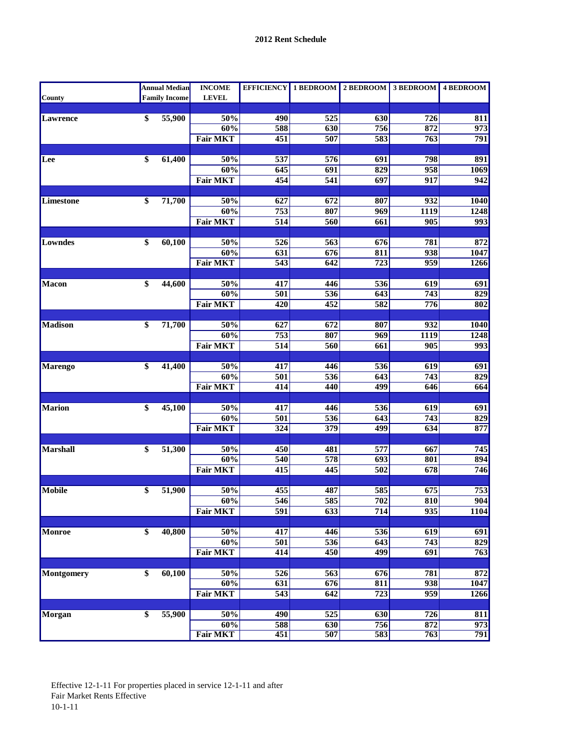|                   |                 | <b>Annual Median</b> | <b>INCOME</b>   |                  |                         | EFFICIENCY 1 BEDROOM 2 BEDROOM 3 BEDROOM 4 BEDROOM |                  |                  |
|-------------------|-----------------|----------------------|-----------------|------------------|-------------------------|----------------------------------------------------|------------------|------------------|
| <b>County</b>     |                 | <b>Family Income</b> | <b>LEVEL</b>    |                  |                         |                                                    |                  |                  |
|                   |                 |                      |                 |                  |                         |                                                    |                  |                  |
| Lawrence          | \$              | 55,900               | 50%             | 490              | $\overline{525}$        | 630                                                | 726              | 811              |
|                   |                 |                      | 60%             | 588              | 630                     | 756                                                | 872              | $\overline{973}$ |
|                   |                 |                      | <b>Fair MKT</b> | 451              | 507                     | 583                                                | 763              | 791              |
| Lee               | \$              | 61,400               | 50%             | 537              | $\overline{576}$        | 691                                                | 798              | 891              |
|                   |                 |                      | 60%             | 645              | 691                     | 829                                                | 958              | 1069             |
|                   |                 |                      | <b>Fair MKT</b> | 454              | 541                     | 697                                                | 917              | 942              |
|                   |                 |                      |                 |                  |                         |                                                    |                  |                  |
| Limestone         | $\overline{\$}$ | 71,700               | 50%             | 627              | 672                     | 807                                                | 932              | 1040             |
|                   |                 |                      | 60%             | $\overline{753}$ | 807                     | 969                                                | 1119             | 1248             |
|                   |                 |                      | <b>Fair MKT</b> | $\overline{514}$ | 560                     | 661                                                | $\overline{905}$ | 993              |
|                   |                 |                      |                 |                  |                         |                                                    |                  |                  |
| Lowndes           | \$              | 60,100               | 50%             | 526              | 563                     | 676                                                | 781              | 872              |
|                   |                 |                      | 60%             | $\overline{631}$ | 676                     | 811                                                | 938              | 1047             |
|                   |                 |                      | <b>Fair MKT</b> | $\overline{543}$ | 642                     | $\overline{723}$                                   | 959              | 1266             |
|                   |                 |                      |                 |                  |                         |                                                    |                  |                  |
| <b>Macon</b>      | \$              | 44,600               | 50%<br>60%      | 417<br>501       | 446<br>536              | 536<br>643                                         | 619<br>743       | 691<br>829       |
|                   |                 |                      | <b>Fair MKT</b> | 420              | 452                     | 582                                                | 776              | 802              |
|                   |                 |                      |                 |                  |                         |                                                    |                  |                  |
| <b>Madison</b>    | \$              | 71,700               | 50%             | 627              | 672                     | 807                                                | 932              | <b>1040</b>      |
|                   |                 |                      | 60%             | $\overline{753}$ | 807                     | 969                                                | 1119             | 1248             |
|                   |                 |                      | <b>Fair MKT</b> | $\overline{514}$ | 560                     | 661                                                | $\overline{905}$ | 993              |
|                   |                 |                      |                 |                  |                         |                                                    |                  |                  |
| <b>Marengo</b>    | \$              | 41,400               | 50%             | 417              | 446                     | 536                                                | 619              | 691              |
|                   |                 |                      | 60%             | $\overline{501}$ | 536                     | 643                                                | $\overline{743}$ | 829              |
|                   |                 |                      | <b>Fair MKT</b> | 414              | 440                     | 499                                                | 646              | 664              |
|                   |                 |                      |                 |                  |                         |                                                    |                  |                  |
| <b>Marion</b>     | \$              | 45,100               | 50%             | 417              | 446                     | $\overline{536}$                                   | 619              | 691              |
|                   |                 |                      | 60%             | 501              | 536                     | 643                                                | 743              | 829              |
|                   |                 |                      | <b>Fair MKT</b> | 324              | 379                     | 499                                                | 634              | 877              |
|                   |                 |                      |                 |                  |                         |                                                    |                  |                  |
| Marshall          | \$              | 51,300               | 50%<br>60%      | 450<br>540       | 481<br>578              | 577<br>$\overline{693}$                            | 667<br>801       | 745<br>894       |
|                   |                 |                      | <b>Fair MKT</b> | 415              | 445                     | $\overline{502}$                                   | 678              | 746              |
|                   |                 |                      |                 |                  |                         |                                                    |                  |                  |
| <b>Mobile</b>     | \$              | 51,900               | 50%             | 455              | 487                     | 585                                                | 675              | 753              |
|                   |                 |                      | 60%             | 546              | 585                     | $\overline{702}$                                   | 810              | 904              |
|                   |                 |                      | <b>Fair MKT</b> | $\overline{591}$ | $\overline{633}$        | 714                                                | 935              | 1104             |
|                   |                 |                      |                 |                  |                         |                                                    |                  |                  |
| Monroe            | $\overline{\$}$ | 40,800               | 50%             | 417              | 446                     | 536                                                | 619              | 691              |
|                   |                 |                      | 60%             | 501              | 536                     | 643                                                | $\overline{743}$ | 829              |
|                   |                 |                      | <b>Fair MKT</b> | $\overline{414}$ | 450                     | 499                                                | 691              | 763              |
|                   |                 |                      |                 |                  |                         |                                                    |                  |                  |
| <b>Montgomery</b> | $\overline{\$}$ | 60,100               | 50%             | $\overline{526}$ | $\overline{563}$        | $\overline{676}$                                   | 781              | 872              |
|                   |                 |                      | 60%             | $\overline{631}$ | 676                     | 811                                                | 938              | 1047             |
|                   |                 |                      | <b>Fair MKT</b> | 543              | 642                     | 723                                                | 959              | 1266             |
|                   |                 |                      |                 |                  |                         |                                                    |                  |                  |
| <b>Morgan</b>     | $\overline{\$}$ | 55,900               | 50%<br>60%      | 490<br>588       | $\overline{525}$<br>630 | 630<br>756                                         | 726<br>872       | 811<br>973       |
|                   |                 |                      | <b>Fair MKT</b> | 451              | 507                     | 583                                                | 763              | 791              |
|                   |                 |                      |                 |                  |                         |                                                    |                  |                  |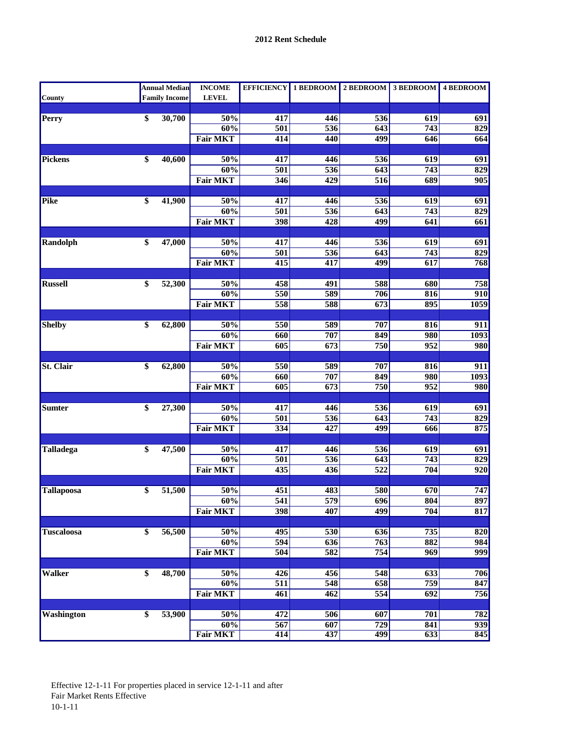|                   | <b>Annual Median</b> | <b>INCOME</b>          |                         |                         | EFFICIENCY 1 BEDROOM 2 BEDROOM 3 BEDROOM 4 BEDROOM |                  |                  |
|-------------------|----------------------|------------------------|-------------------------|-------------------------|----------------------------------------------------|------------------|------------------|
| <b>County</b>     | <b>Family Income</b> | <b>LEVEL</b>           |                         |                         |                                                    |                  |                  |
|                   |                      |                        |                         |                         |                                                    |                  |                  |
| Perry             | \$<br>30,700         | 50%                    | 417                     | 446                     | 536                                                | 619              | 691              |
|                   |                      | 60%                    | $\overline{501}$        | 536                     | 643                                                | $\overline{743}$ | 829              |
|                   |                      | <b>Fair MKT</b>        | 414                     | 440                     | 499                                                | 646              | 664              |
| Pickens           | \$<br>40,600         | 50%                    | 417                     | 446                     | 536                                                | $\overline{619}$ | 691              |
|                   |                      | 60%                    | $\overline{501}$        | $\overline{536}$        | 643                                                | 743              | 829              |
|                   |                      | <b>Fair MKT</b>        | 346                     | 429                     | 516                                                | 689              | 905              |
|                   |                      |                        |                         |                         |                                                    |                  |                  |
| Pike              | \$<br>41,900         | 50%                    | 417                     | 446                     | 536                                                | 619              | 691              |
|                   |                      | 60%                    | $\overline{501}$        | $\overline{536}$        | 643                                                | 743              | 829              |
|                   |                      | <b>Fair MKT</b>        | 398                     | 428                     | 499                                                | 641              | 661              |
|                   |                      |                        |                         |                         |                                                    |                  |                  |
| <b>Randolph</b>   | \$<br>47,000         | 50%                    | 417                     | 446                     | 536                                                | 619              | 691              |
|                   |                      | 60%                    | 501                     | 536                     | 643                                                | $\overline{743}$ | 829              |
|                   |                      | <b>Fair MKT</b>        | $\overline{415}$        | 417                     | 499                                                | 617              | 768              |
|                   |                      |                        |                         |                         |                                                    |                  |                  |
| <b>Russell</b>    | \$<br>52,300         | 50%                    | 458                     | 491                     | 588                                                | 680              | 758              |
|                   |                      | 60%                    | 550                     | 589                     | 706                                                | 816              | 910              |
|                   |                      | <b>Fair MKT</b>        | 558                     | 588                     | 673                                                | 895              | 1059             |
|                   |                      |                        |                         |                         |                                                    |                  |                  |
| <b>Shelby</b>     | \$<br>62,800         | 50%                    | 550                     | 589                     | 707                                                | 816              | 911              |
|                   |                      | 60%                    | 660                     | 707                     | 849                                                | 980              | 1093<br>980      |
|                   |                      | <b>Fair MKT</b>        | 605                     | 673                     | 750                                                | 952              |                  |
| <b>St. Clair</b>  | \$<br>62,800         | 50%                    | 550                     | 589                     | 707                                                | 816              | 911              |
|                   |                      | 60%                    | 660                     | 707                     | 849                                                | 980              | 1093             |
|                   |                      | <b>Fair MKT</b>        | 605                     | $\overline{673}$        | 750                                                | 952              | 980              |
|                   |                      |                        |                         |                         |                                                    |                  |                  |
| <b>Sumter</b>     | \$<br>27,300         | 50%                    | 417                     | 446                     | 536                                                | 619              | 691              |
|                   |                      | 60%                    | $\overline{501}$        | 536                     | 643                                                | $\overline{743}$ | 829              |
|                   |                      | <b>Fair MKT</b>        | $\frac{1}{334}$         | 427                     | 499                                                | 666              | 875              |
|                   |                      |                        |                         |                         |                                                    |                  |                  |
| <b>Talladega</b>  | \$<br>47,500         | 50%                    | 417                     | 446                     | 536                                                | 619              | 691              |
|                   |                      | 60%                    | $\overline{501}$        | $\overline{536}$        | 643                                                | $\overline{743}$ | 829              |
|                   |                      | <b>Fair MKT</b>        | 435                     | 436                     | $\overline{522}$                                   | 704              | $\overline{920}$ |
|                   |                      |                        |                         |                         |                                                    |                  |                  |
| <b>Tallapoosa</b> | \$<br>51,500         | 50%                    | 451                     | 483<br>$\overline{579}$ | 580                                                | 670              | 747              |
|                   |                      | 60%<br><b>Fair MKT</b> | $\overline{541}$<br>398 | 407                     | 696<br>499                                         | 804<br>704       | 897              |
|                   |                      |                        |                         |                         |                                                    |                  | 817              |
| <b>Tuscaloosa</b> | \$<br>56,500         | 50%                    | 495                     | 530                     | 636                                                | 735              | 820              |
|                   |                      | 60%                    | 594                     | $\overline{636}$        | 763                                                | 882              | 984              |
|                   |                      | <b>Fair MKT</b>        | 504                     | 582                     | 754                                                | 969              | 999              |
|                   |                      |                        |                         |                         |                                                    |                  |                  |
| <b>Walker</b>     | \$<br>48,700         | 50%                    | 426                     | 456                     | $\overline{548}$                                   | 633              | 706              |
|                   |                      | 60%                    | $\overline{511}$        | 548                     | 658                                                | 759              | 847              |
|                   |                      | <b>Fair MKT</b>        | 461                     | 462                     | 554                                                | 692              | 756              |
|                   |                      |                        |                         |                         |                                                    |                  |                  |
| <b>Washington</b> | \$<br>53,900         | 50%                    | 472                     | 506                     | 607                                                | 701              | 782              |
|                   |                      | 60%                    | $\overline{567}$        | 607                     | $\overline{729}$                                   | 841              | 939              |
|                   |                      | <b>Fair MKT</b>        | 414                     | 437                     | 499                                                | 633              | 845              |